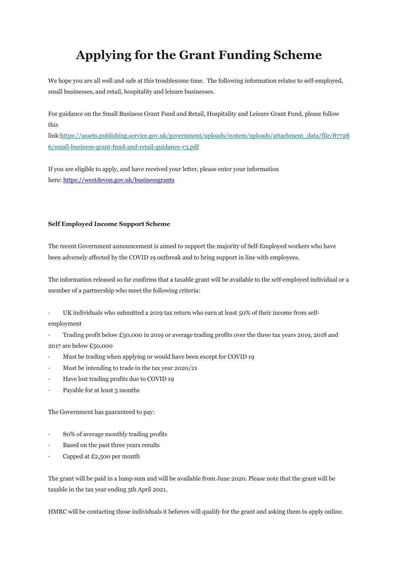## **Applying for the Grant Funding Scheme**

We hope you are all well and safe at this troublesome time. The following information relates to self-employed, small businesses, and retail, hospitality and leisure businesses.

For guidance on the Small Business Grant Fund and Retail, Hospitality and Leisure Grant Fund, please follow this

link:https://assets.publishing.service.gov.uk/government/uploads/system/uploads/attachment\_data/file/87728 6/small-business-grant-fund-and-retail-guidance-v3.pdf

If you are eligible to apply, and have received your letter, please enter your information here: https://westdevon.gov.uk/businessgrants

## **Self Employed Income Support Scheme**

The recent Government announcement is aimed to support the majority of Self-Employed workers who have been adversely affected by the COVID 19 outbreak and to bring support in line with employees.

The information released so far confirms that a taxable grant will be available to the self-employed individual or a member of a partnership who meet the following criteria:

UK individuals who submitted a 2019 tax return who earn at least 50% of their income from selfemployment

Trading profit below £50,000 in 2019 or average trading profits over the three tax years 2019, 2018 and 2017 are below £50,000

- Must be trading when applying or would have been except for COVID 19
- Must be intending to trade in the tax year 2020/21
- Have lost trading profits due to COVID 19
- · Payable for at least 3 months

The Government has guaranteed to pay:

- · 80% of average monthly trading profits
- Based on the past three years results
- Capped at £2,500 per month

The grant will be paid in a lump sum and will be available from June 2020. Please note that the grant will be taxable in the tax year ending 5th April 2021.

HMRC will be contacting those individuals it believes will qualify for the grant and asking them to apply online.